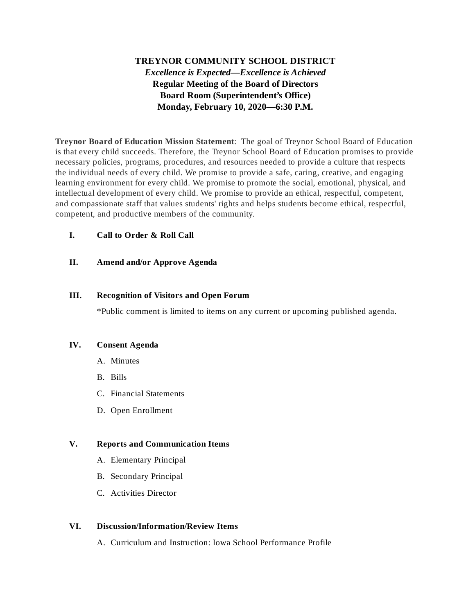# **TREYNOR COMMUNITY SCHOOL DISTRICT** *Excellence is Expected—Excellence is Achieved* **Regular Meeting of the Board of Directors Board Room (Superintendent's Office) Monday, February 10, 2020—6:30 P.M.**

**Treynor Board of Education Mission Statement**: The goal of Treynor School Board of Education is that every child succeeds. Therefore, the Treynor School Board of Education promises to provide necessary policies, programs, procedures, and resources needed to provide a culture that respects the individual needs of every child. We promise to provide a safe, caring, creative, and engaging learning environment for every child. We promise to promote the social, emotional, physical, and intellectual development of every child. We promise to provide an ethical, respectful, competent, and compassionate staff that values students' rights and helps students become ethical, respectful, competent, and productive members of the community.

# **I. Call to Order & Roll Call**

## **II. Amend and/or Approve Agenda**

#### **III. Recognition of Visitors and Open Forum**

\*Public comment is limited to items on any current or upcoming published agenda.

#### **IV. Consent Agenda**

- A. Minutes
- B. Bills
- C. Financial Statements
- D. Open Enrollment

## **V. Reports and Communication Items**

- A. Elementary Principal
- B. Secondary Principal
- C. Activities Director

#### **VI. Discussion/Information/Review Items**

A. Curriculum and Instruction: Iowa School Performance Profile